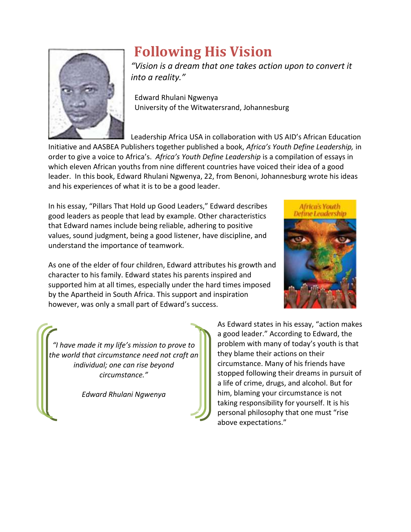

## **Following His Vision**

*"Vision is a dream that one takes action upon to convert it into a reality."*

 Edward Rhulani Ngwenya University of the Witwatersrand, Johannesburg

Leadership Africa USA in collaboration with US AID's African Education Initiative and AASBEA Publishers together published a book, *Africa's Youth Define Leadership,* in order to give a voice to Africa's. *Africa's Youth Define Leadership* is a compilation of essays in which eleven African youths from nine different countries have voiced their idea of a good leader. In this book, Edward Rhulani Ngwenya, 22, from Benoni, Johannesburg wrote his ideas and his experiences of what it is to be a good leader.

In his essay, "Pillars That Hold up Good Leaders," Edward describes good leaders as people that lead by example. Other characteristics that Edward names include being reliable, adhering to positive values, sound judgment, being a good listener, have discipline, and understand the importance of teamwork.



As one of the elder of four children, Edward attributes his growth and character to his family. Edward states his parents inspired and supported him at all times, especially under the hard times imposed by the Apartheid in South Africa. This support and inspiration however, was only a small part of Edward's success.

*"I have made it my life's mission to prove to the world that circumstance need not craft an individual; one can rise beyond circumstance."*

*Edward Rhulani Ngwenya*

As Edward states in his essay, "action makes a good leader." According to Edward, the problem with many of today's youth is that they blame their actions on their circumstance. Many of his friends have stopped following their dreams in pursuit of a life of crime, drugs, and alcohol. But for him, blaming your circumstance is not taking responsibility for yourself. It is his personal philosophy that one must "rise above expectations."